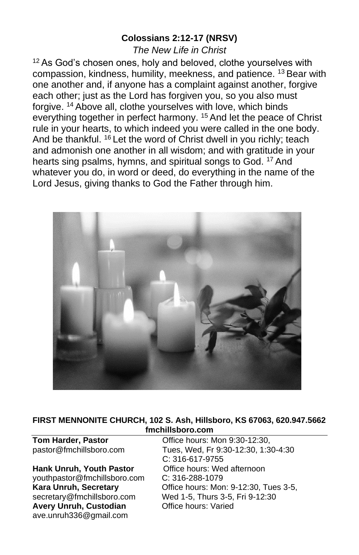### **Colossians 2:12-17 (NRSV)**

*The New Life in Christ*

<sup>12</sup> As God's chosen ones, holy and beloved, clothe yourselves with compassion, kindness, humility, meekness, and patience. <sup>13</sup> Bear with one another and, if anyone has a complaint against another, forgive each other; just as the Lord has forgiven you, so you also must forgive. <sup>14</sup> Above all, clothe yourselves with love, which binds everything together in perfect harmony. <sup>15</sup> And let the peace of Christ rule in your hearts, to which indeed you were called in the one body. And be thankful. <sup>16</sup> Let the word of Christ dwell in you richly; teach and admonish one another in all wisdom; and with gratitude in your hearts sing psalms, hymns, and spiritual songs to God. <sup>17</sup> And whatever you do, in word or deed, do everything in the name of the Lord Jesus, giving thanks to God the Father through him.



#### **FIRST MENNONITE CHURCH, 102 S. Ash, Hillsboro, KS 67063, 620.947.5662 fmchillsboro.com**

Hank Unruh, Youth Pastor **Office hours: Wed afternoon** [youthpastor@fmchillsboro.com](mailto:youthpastor@fmchillsboro.com) C: 316-288-1079 **Avery Unruh, Custodian Office hours: Varied** ave.unruh336@gmail.com

**Tom Harder, Pastor Conserved Conserved Conserved Arrow Office hours: Mon 9:30-12:30,** pastor@fmchillsboro.com Tues, Wed, Fr 9:30-12:30, 1:30-4:30 C: 316-617-9755 **Kara Unruh, Secretary Cffice hours: Mon: 9-12:30, Tues 3-5, Secretary** @fmchillsboro.com **Wed 1-5, Thurs 3-5, Fri 9-12:30** Wed 1-5, Thurs 3-5, Fri 9-12:30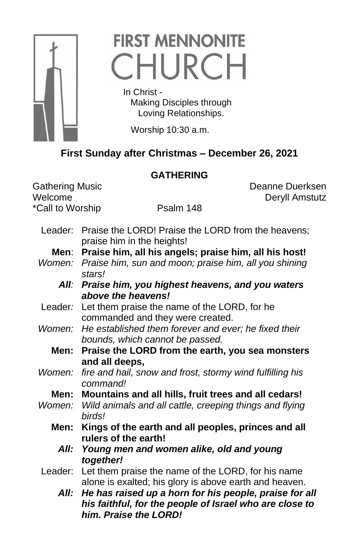

# **FIRST MENNONITE** CHURCH

 In Christ - Making Disciples through Loving Relationships.

Worship 10:30 a.m.

# **First Sunday after Christmas – December 26, 2021**

# **GATHERING**

\*Call to Worship Psalm 148

Gathering Music **Communist Contract Contract Contract Contract Contract Contract Contract Contract Contract Contract Contract Contract Contract Contract Contract Contract Contract Contract Contract Contract Contract Contra** Welcome Deryll Amstutz

- Leader: Praise the LORD! Praise the LORD from the heavens; praise him in the heights!
	- **Men**: **Praise him, all his angels; praise him, all his host!**
- *Women: Praise him, sun and moon; praise him, all you shining stars!*
	- *All: Praise him, you highest heavens, and you waters above the heavens!*
- Leader*:* Let them praise the name of the LORD, for he commanded and they were created.
- *Women: He established them forever and ever; he fixed their bounds, which cannot be passed.*
	- **Men: Praise the LORD from the earth, you sea monsters and all deeps,**
- *Women: fire and hail, snow and frost, stormy wind fulfilling his command!*
	- **Men: Mountains and all hills, fruit trees and all cedars!**
- *Women: Wild animals and all cattle, creeping things and flying birds!*
	- **Men: Kings of the earth and all peoples, princes and all rulers of the earth!**
		- *All: Young men and women alike, old and young together!*
- Leader: Let them praise the name of the LORD, for his name alone is exalted; his glory is above earth and heaven.
	- *All: He has raised up a horn for his people, praise for all his faithful, for the people of Israel who are close to him. Praise the LORD!*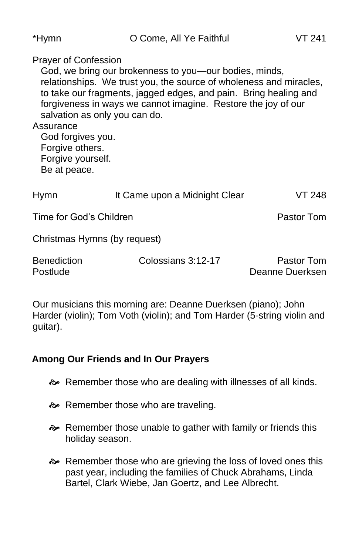| *Hymn                                                                                                                                                  | O Come, All Ye Faithful                                                                                                                                                                                                                                           | VT 241                         |
|--------------------------------------------------------------------------------------------------------------------------------------------------------|-------------------------------------------------------------------------------------------------------------------------------------------------------------------------------------------------------------------------------------------------------------------|--------------------------------|
| <b>Prayer of Confession</b><br>salvation as only you can do.<br>Assurance<br>God forgives you.<br>Forgive others.<br>Forgive yourself.<br>Be at peace. | God, we bring our brokenness to you—our bodies, minds,<br>relationships. We trust you, the source of wholeness and miracles,<br>to take our fragments, jagged edges, and pain. Bring healing and<br>forgiveness in ways we cannot imagine. Restore the joy of our |                                |
| Hymn                                                                                                                                                   | It Came upon a Midnight Clear                                                                                                                                                                                                                                     | VT 248                         |
| Time for God's Children                                                                                                                                |                                                                                                                                                                                                                                                                   | Pastor Tom                     |
| Christmas Hymns (by request)                                                                                                                           |                                                                                                                                                                                                                                                                   |                                |
| <b>Benediction</b><br>Postlude                                                                                                                         | Colossians 3:12-17                                                                                                                                                                                                                                                | Pastor Tom<br>Deanne Duerksen. |

Our musicians this morning are: Deanne Duerksen (piano); John Harder (violin); Tom Voth (violin); and Tom Harder (5-string violin and guitar).

# **Among Our Friends and In Our Prayers**

- Remember those who are dealing with illnesses of all kinds.
- Remember those who are traveling.
- Remember those unable to gather with family or friends this holiday season.
- **EXECUTE:** Remember those who are grieving the loss of loved ones this past year, including the families of Chuck Abrahams, Linda Bartel, Clark Wiebe, Jan Goertz, and Lee Albrecht.